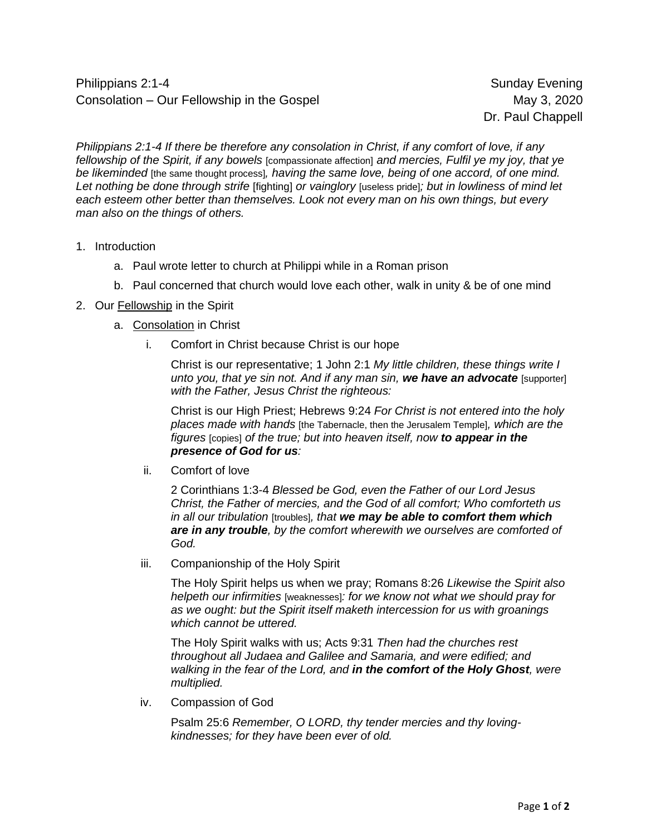Philippians 2:1-4 Sunday Evening Consolation – Our Fellowship in the Gospel Consolation 10 May 3, 2020

Dr. Paul Chappell

*Philippians 2:1-4 If there be therefore any consolation in Christ, if any comfort of love, if any fellowship of the Spirit, if any bowels* [compassionate affection] *and mercies, Fulfil ye my joy, that ye be likeminded* [the same thought process]*, having the same love, being of one accord, of one mind. Let nothing be done through strife* [fighting] *or vainglory* [useless pride]*; but in lowliness of mind let each esteem other better than themselves. Look not every man on his own things, but every man also on the things of others.*

- 1. Introduction
	- a. Paul wrote letter to church at Philippi while in a Roman prison
	- b. Paul concerned that church would love each other, walk in unity & be of one mind
- 2. Our Fellowship in the Spirit
	- a. Consolation in Christ
		- i. Comfort in Christ because Christ is our hope

Christ is our representative; 1 John 2:1 *My little children, these things write I unto you, that ye sin not. And if any man sin, we have an advocate* [supporter] *with the Father, Jesus Christ the righteous:*

Christ is our High Priest; Hebrews 9:24 *For Christ is not entered into the holy places made with hands* [the Tabernacle, then the Jerusalem Temple]*, which are the figures* [copies] *of the true; but into heaven itself, now to appear in the presence of God for us:*

ii. Comfort of love

2 Corinthians 1:3-4 *Blessed be God, even the Father of our Lord Jesus Christ, the Father of mercies, and the God of all comfort; Who comforteth us in all our tribulation* [troubles]*, that we may be able to comfort them which are in any trouble, by the comfort wherewith we ourselves are comforted of God.*

iii. Companionship of the Holy Spirit

The Holy Spirit helps us when we pray; Romans 8:26 *Likewise the Spirit also helpeth our infirmities* [weaknesses]*: for we know not what we should pray for as we ought: but the Spirit itself maketh intercession for us with groanings which cannot be uttered.*

The Holy Spirit walks with us; Acts 9:31 *Then had the churches rest throughout all Judaea and Galilee and Samaria, and were edified; and walking in the fear of the Lord, and in the comfort of the Holy Ghost, were multiplied.*

iv. Compassion of God

Psalm 25:6 *Remember, O LORD, thy tender mercies and thy lovingkindnesses; for they have been ever of old.*